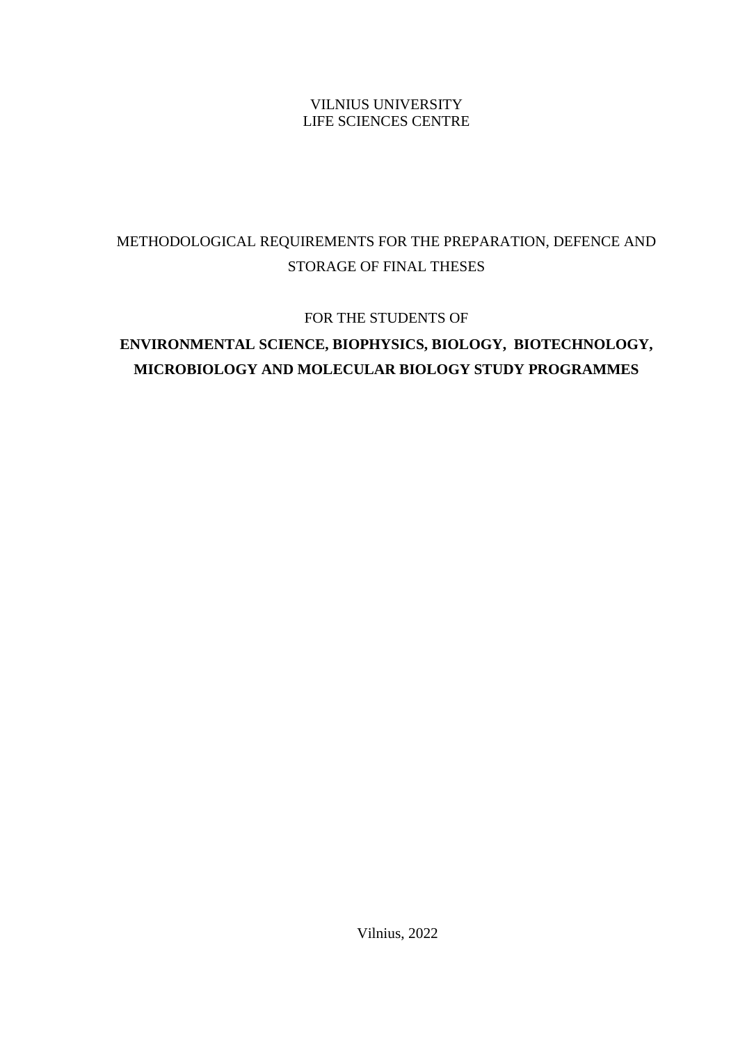# VILNIUS UNIVERSITY LIFE SCIENCES CENTRE

# METHODOLOGICAL REQUIREMENTS FOR THE PREPARATION, DEFENCE AND STORAGE OF FINAL THESES

FOR THE STUDENTS OF

# **ENVIRONMENTAL SCIENCE, BIOPHYSICS, BIOLOGY, BIOTECHNOLOGY, MICROBIOLOGY AND MOLECULAR BIOLOGY STUDY PROGRAMMES**

Vilnius, 2022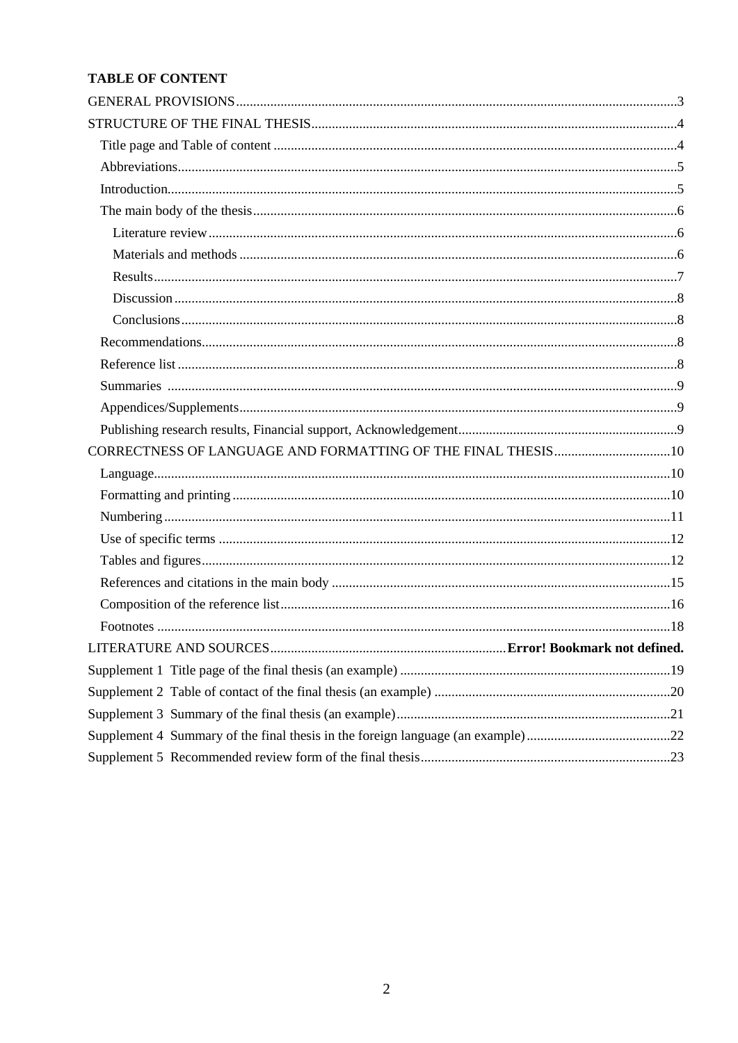# **TABLE OF CONTENT**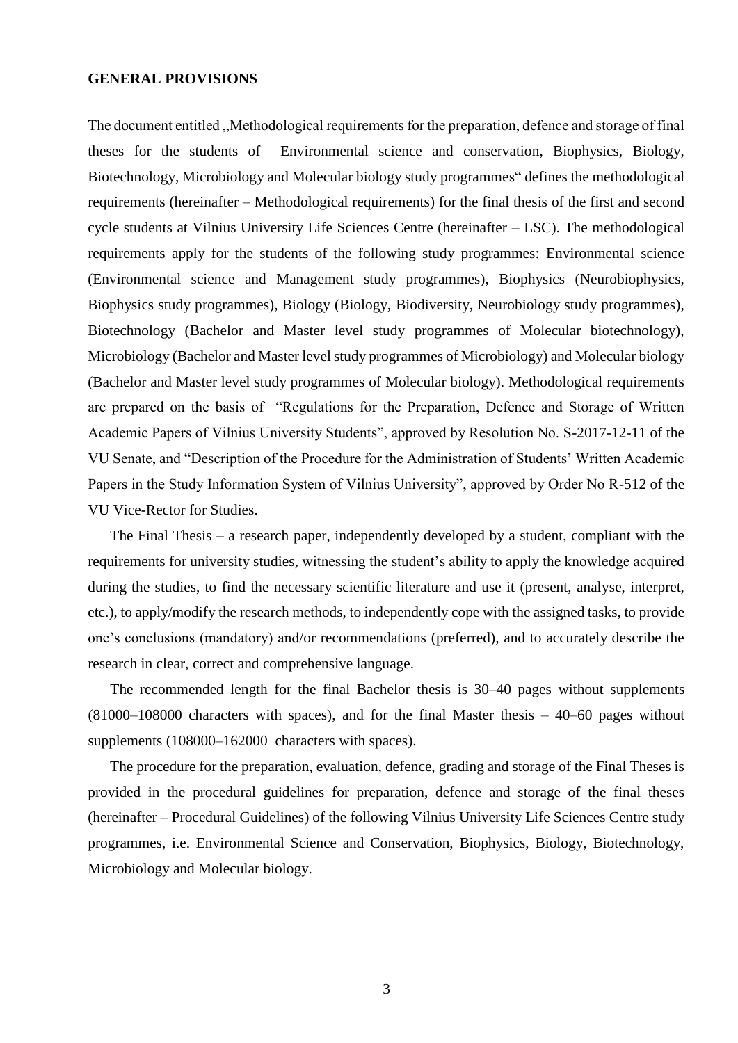#### <span id="page-2-0"></span>**GENERAL PROVISIONS**

The document entitled ,, Methodological requirements for the preparation, defence and storage of final theses for the students of Environmental science and conservation, Biophysics, Biology, Biotechnology, Microbiology and Molecular biology study programmes" defines the methodological requirements (hereinafter – Methodological requirements) for the final thesis of the first and second cycle students at Vilnius University Life Sciences Centre (hereinafter – LSC). The methodological requirements apply for the students of the following study programmes: Environmental science (Environmental science and Management study programmes), Biophysics (Neurobiophysics, Biophysics study programmes), Biology (Biology, Biodiversity, Neurobiology study programmes), Biotechnology (Bachelor and Master level study programmes of Molecular biotechnology), Microbiology (Bachelor and Master level study programmes of Microbiology) and Molecular biology (Bachelor and Master level study programmes of Molecular biology). Methodological requirements are prepared on the basis of "Regulations for the Preparation, Defence and Storage of Written Academic Papers of Vilnius University Students", approved by Resolution No. S-2017-12-11 of the VU Senate, and "Description of the Procedure for the Administration of Students' Written Academic Papers in the Study Information System of Vilnius University", approved by Order No R-512 of the VU Vice-Rector for Studies.

The Final Thesis – a research paper, independently developed by a student, compliant with the requirements for university studies, witnessing the student's ability to apply the knowledge acquired during the studies, to find the necessary scientific literature and use it (present, analyse, interpret, etc.), to apply/modify the research methods, to independently cope with the assigned tasks, to provide one's conclusions (mandatory) and/or recommendations (preferred), and to accurately describe the research in clear, correct and comprehensive language.

The recommended length for the final Bachelor thesis is 30–40 pages without supplements (81000–108000 characters with spaces), and for the final Master thesis – 40–60 pages without supplements (108000–162000 characters with spaces).

The procedure for the preparation, evaluation, defence, grading and storage of the Final Theses is provided in the procedural guidelines for preparation, defence and storage of the final theses (hereinafter – Procedural Guidelines) of the following Vilnius University Life Sciences Centre study programmes, i.e. Environmental Science and Conservation, Biophysics, Biology, Biotechnology, Microbiology and Molecular biology.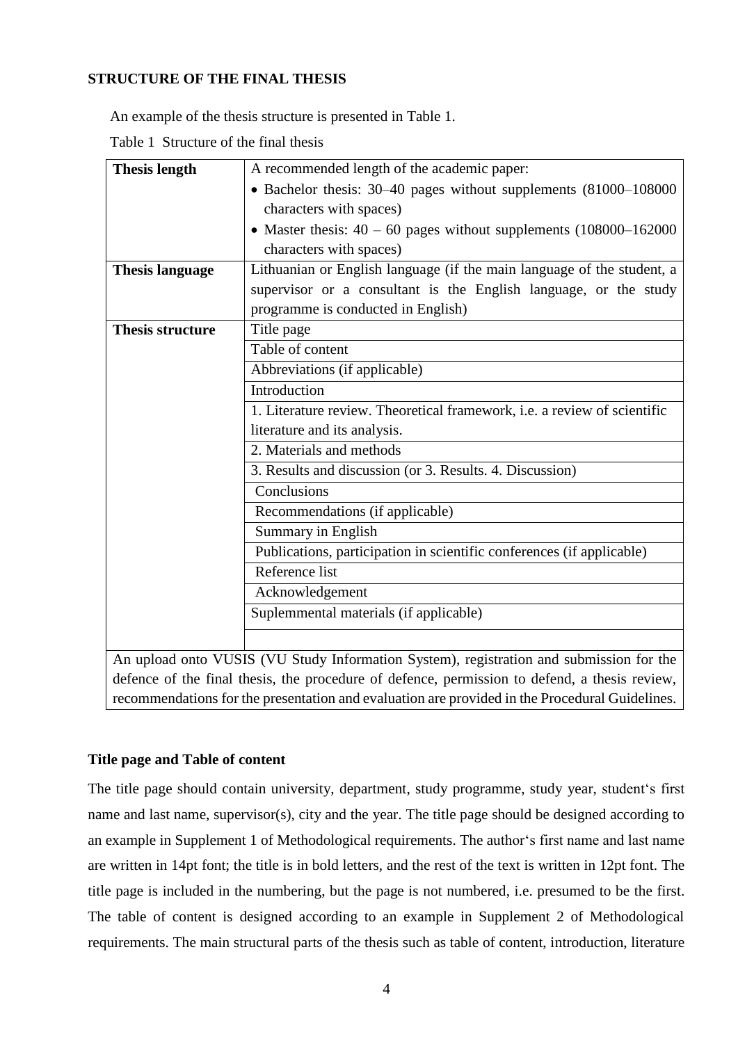# <span id="page-3-0"></span>**STRUCTURE OF THE FINAL THESIS**

An example of the thesis structure is presented in Table 1.

Table 1 Structure of the final thesis

| <b>Thesis length</b>    | A recommended length of the academic paper:                                             |  |  |  |
|-------------------------|-----------------------------------------------------------------------------------------|--|--|--|
|                         | • Bachelor thesis: 30-40 pages without supplements (81000-108000                        |  |  |  |
|                         | characters with spaces)                                                                 |  |  |  |
|                         | • Master thesis: $40 - 60$ pages without supplements $(108000 - 162000$                 |  |  |  |
|                         | characters with spaces)                                                                 |  |  |  |
| <b>Thesis language</b>  | Lithuanian or English language (if the main language of the student, a                  |  |  |  |
|                         | supervisor or a consultant is the English language, or the study                        |  |  |  |
|                         | programme is conducted in English)                                                      |  |  |  |
| <b>Thesis structure</b> | Title page                                                                              |  |  |  |
|                         | Table of content                                                                        |  |  |  |
|                         | Abbreviations (if applicable)                                                           |  |  |  |
|                         | Introduction                                                                            |  |  |  |
|                         | 1. Literature review. Theoretical framework, i.e. a review of scientific                |  |  |  |
|                         | literature and its analysis.                                                            |  |  |  |
|                         | 2. Materials and methods                                                                |  |  |  |
|                         | 3. Results and discussion (or 3. Results. 4. Discussion)                                |  |  |  |
|                         | Conclusions                                                                             |  |  |  |
|                         | Recommendations (if applicable)                                                         |  |  |  |
|                         | Summary in English                                                                      |  |  |  |
|                         | Publications, participation in scientific conferences (if applicable)                   |  |  |  |
|                         | Reference list                                                                          |  |  |  |
|                         | Acknowledgement                                                                         |  |  |  |
|                         | Suplemmental materials (if applicable)                                                  |  |  |  |
|                         |                                                                                         |  |  |  |
|                         | An upload onto VUSIS (VU Study Information System), registration and submission for the |  |  |  |

An upload onto VUSIS (VU Study Information System), registration and submission for the defence of the final thesis, the procedure of defence, permission to defend, a thesis review, recommendations for the presentation and evaluation are provided in the Procedural Guidelines.

## <span id="page-3-1"></span>**Title page and Table of content**

The title page should contain university, department, study programme, study year, student's first name and last name, supervisor(s), city and the year. The title page should be designed according to an example in Supplement 1 of Methodological requirements. The author's first name and last name are written in 14pt font; the title is in bold letters, and the rest of the text is written in 12pt font. The title page is included in the numbering, but the page is not numbered, i.e. presumed to be the first. The table of content is designed according to an example in Supplement 2 of Methodological requirements. The main structural parts of the thesis such as table of content, introduction, literature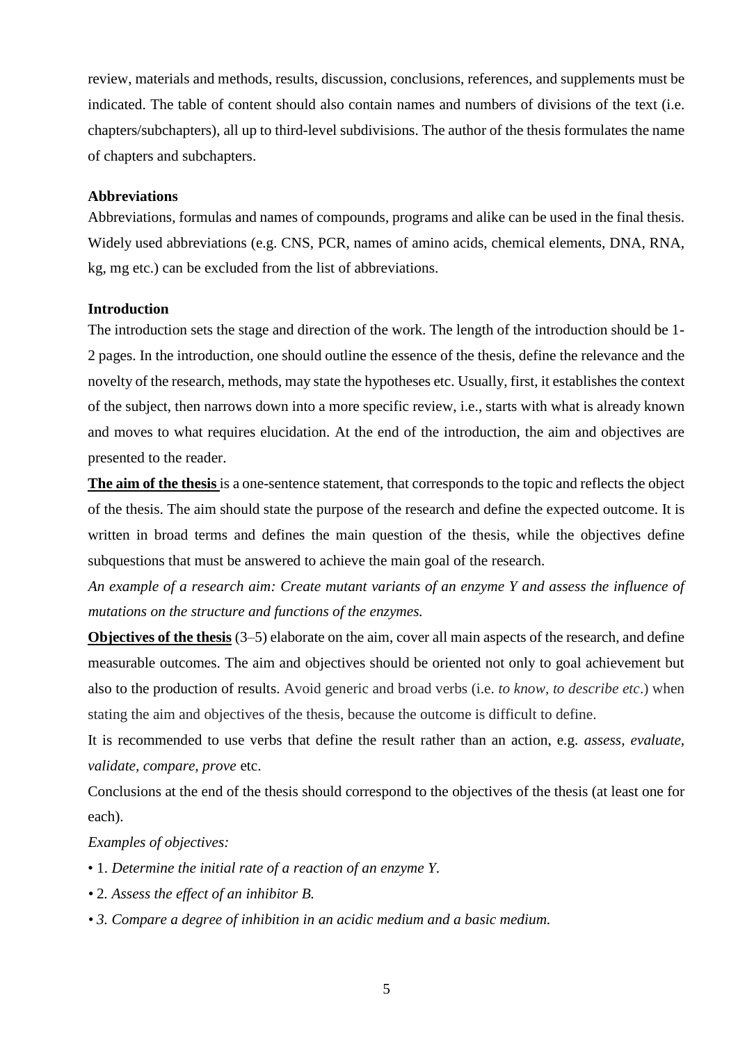review, materials and methods, results, discussion, conclusions, references, and supplements must be indicated. The table of content should also contain names and numbers of divisions of the text (i.e. chapters/subchapters), all up to third-level subdivisions. The author of the thesis formulates the name of chapters and subchapters.

## <span id="page-4-0"></span>**Abbreviations**

Abbreviations, formulas and names of compounds, programs and alike can be used in the final thesis. Widely used abbreviations (e.g. CNS, PCR, names of amino acids, chemical elements, DNA, RNA, kg, mg etc.) can be excluded from the list of abbreviations.

#### <span id="page-4-1"></span>**Introduction**

The introduction sets the stage and direction of the work. The length of the introduction should be 1- 2 pages. In the introduction, one should outline the essence of the thesis, define the relevance and the novelty of the research, methods, may state the hypotheses etc. Usually, first, it establishes the context of the subject, then narrows down into a more specific review, i.e., starts with what is already known and moves to what requires elucidation. At the end of the introduction, the aim and objectives are presented to the reader.

**The aim of the thesis** is a one-sentence statement, that corresponds to the topic and reflects the object of the thesis. The aim should state the purpose of the research and define the expected outcome. It is written in broad terms and defines the main question of the thesis, while the objectives define subquestions that must be answered to achieve the main goal of the research.

*An example of a research aim: Create mutant variants of an enzyme Y and assess the influence of mutations on the structure and functions of the enzymes.* 

**Objectives of the thesis** (3–5) elaborate on the aim, cover all main aspects of the research, and define measurable outcomes. The aim and objectives should be oriented not only to goal achievement but also to the production of results. Avoid generic and broad verbs (i.e. *to know, to describe etc*.) when stating the aim and objectives of the thesis, because the outcome is difficult to define.

It is recommended to use verbs that define the result rather than an action, e.g. *assess, evaluate, validate, compare, prove* etc.

Conclusions at the end of the thesis should correspond to the objectives of the thesis (at least one for each).

*Examples of objectives:* 

- 1. *Determine the initial rate of a reaction of an enzyme Y.*
- *•* 2*. Assess the effect of an inhibitor B.*
- *• 3. Compare a degree of inhibition in an acidic medium and a basic medium.*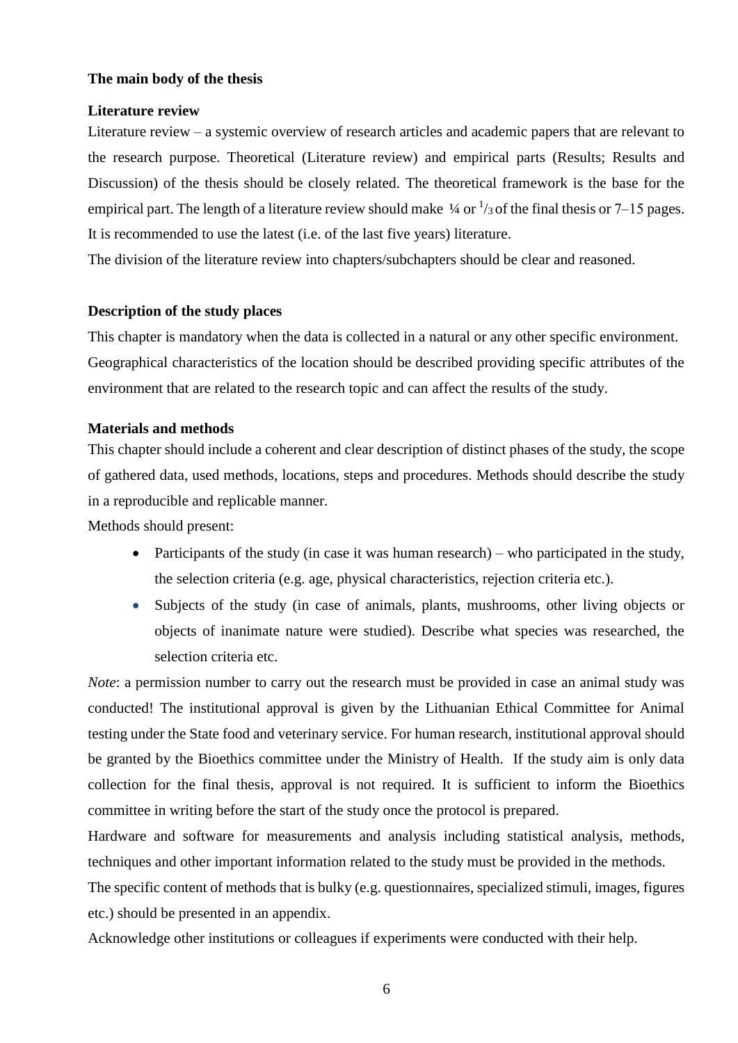## <span id="page-5-0"></span>**The main body of the thesis**

#### <span id="page-5-1"></span>**Literature review**

Literature review – a systemic overview of research articles and academic papers that are relevant to the research purpose. Theoretical (Literature review) and empirical parts (Results; Results and Discussion) of the thesis should be closely related. The theoretical framework is the base for the empirical part. The length of a literature review should make  $\frac{1}{4}$  or  $\frac{1}{3}$  of the final thesis or 7–15 pages. It is recommended to use the latest (i.e. of the last five years) literature.

The division of the literature review into chapters/subchapters should be clear and reasoned.

#### **Description of the study places**

This chapter is mandatory when the data is collected in a natural or any other specific environment. Geographical characteristics of the location should be described providing specific attributes of the environment that are related to the research topic and can affect the results of the study.

#### <span id="page-5-2"></span>**Materials and methods**

This chapter should include a coherent and clear description of distinct phases of the study, the scope of gathered data, used methods, locations, steps and procedures. Methods should describe the study in a reproducible and replicable manner.

Methods should present:

- Participants of the study (in case it was human research) who participated in the study, the selection criteria (e.g. age, physical characteristics, rejection criteria etc.).
- Subjects of the study (in case of animals, plants, mushrooms, other living objects or objects of inanimate nature were studied). Describe what species was researched, the selection criteria etc.

*Note*: a permission number to carry out the research must be provided in case an animal study was conducted! The institutional approval is given by the Lithuanian Ethical Committee for Animal testing under the State food and veterinary service. For human research, institutional approval should be granted by the Bioethics committee under the Ministry of Health. If the study aim is only data collection for the final thesis, approval is not required. It is sufficient to inform the Bioethics committee in writing before the start of the study once the protocol is prepared.

Hardware and software for measurements and analysis including statistical analysis, methods, techniques and other important information related to the study must be provided in the methods.

The specific content of methods that is bulky (e.g. questionnaires, specialized stimuli, images, figures etc.) should be presented in an appendix.

Acknowledge other institutions or colleagues if experiments were conducted with their help.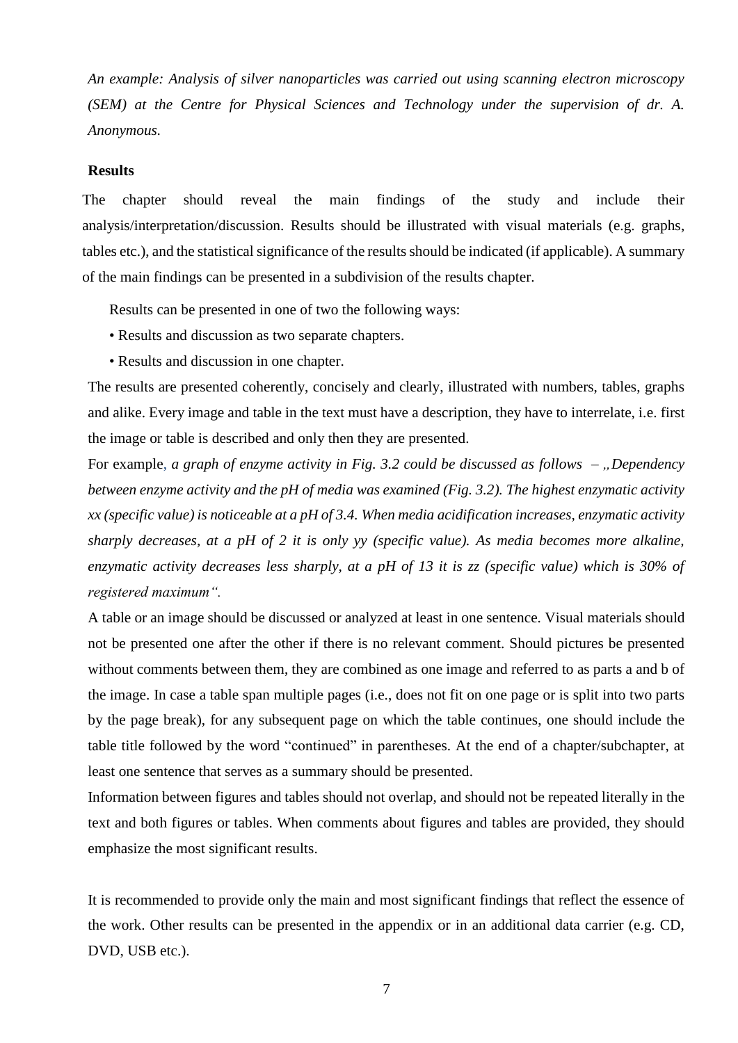*An example: Analysis of silver nanoparticles was carried out using scanning electron microscopy (SEM) at the Centre for Physical Sciences and Technology under the supervision of dr. A. Anonymous.* 

### <span id="page-6-0"></span>**Results**

The chapter should reveal the main findings of the study and include their analysis/interpretation/discussion. Results should be illustrated with visual materials (e.g. graphs, tables etc.), and the statistical significance of the results should be indicated (if applicable). A summary of the main findings can be presented in a subdivision of the results chapter.

Results can be presented in one of two the following ways:

- Results and discussion as two separate chapters.
- Results and discussion in one chapter.

The results are presented coherently, concisely and clearly, illustrated with numbers, tables, graphs and alike. Every image and table in the text must have a description, they have to interrelate, i.e. first the image or table is described and only then they are presented.

For example, *a graph of enzyme activity in Fig. 3.2 could be discussed as follows – "Dependency between enzyme activity and the pH of media was examined (Fig. 3.2). The highest enzymatic activity xx (specific value) is noticeable at a pH of 3.4. When media acidification increases, enzymatic activity sharply decreases, at a pH of 2 it is only yy (specific value). As media becomes more alkaline, enzymatic activity decreases less sharply, at a pH of 13 it is zz (specific value) which is 30% of registered maximum".*

A table or an image should be discussed or analyzed at least in one sentence. Visual materials should not be presented one after the other if there is no relevant comment. Should pictures be presented without comments between them, they are combined as one image and referred to as parts a and b of the image. In case a table span multiple pages (i.e., does not fit on one page or is split into two parts by the page break), for any subsequent page on which the table continues, one should include the table title followed by the word "continued" in parentheses. At the end of a chapter/subchapter, at least one sentence that serves as a summary should be presented.

Information between figures and tables should not overlap, and should not be repeated literally in the text and both figures or tables. When comments about figures and tables are provided, they should emphasize the most significant results.

It is recommended to provide only the main and most significant findings that reflect the essence of the work. Other results can be presented in the appendix or in an additional data carrier (e.g. CD, DVD, USB etc.).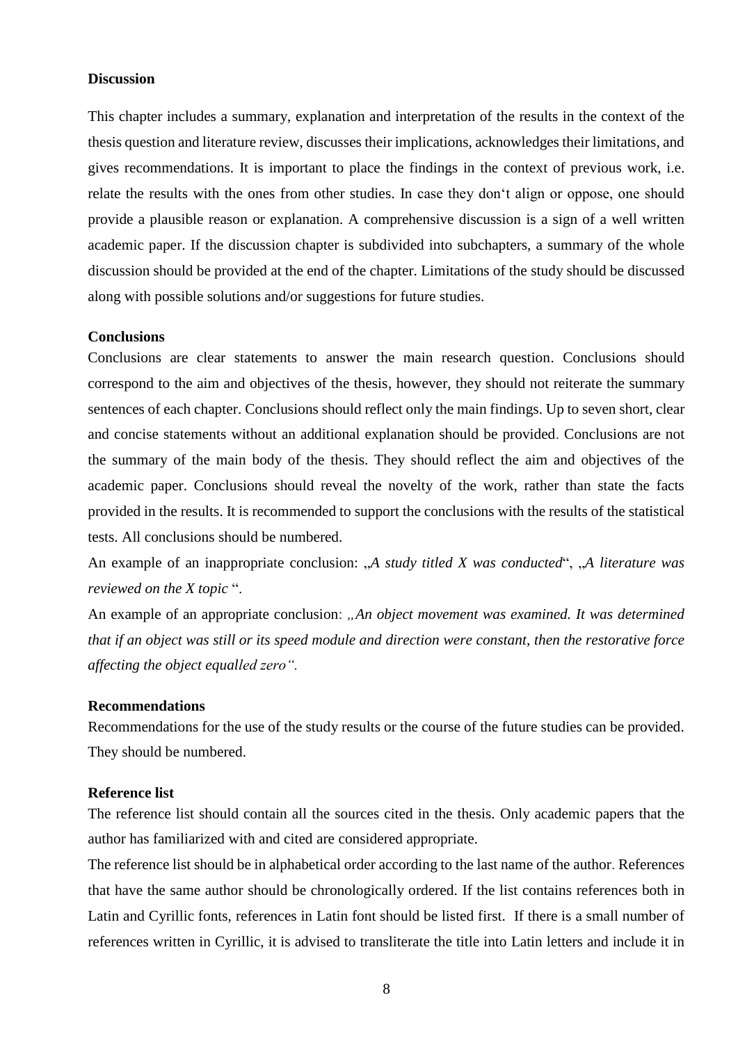#### <span id="page-7-0"></span>**Discussion**

This chapter includes a summary, explanation and interpretation of the results in the context of the thesis question and literature review, discusses their implications, acknowledges their limitations, and gives recommendations. It is important to place the findings in the context of previous work, i.e. relate the results with the ones from other studies. In case they don't align or oppose, one should provide a plausible reason or explanation. A comprehensive discussion is a sign of a well written academic paper. If the discussion chapter is subdivided into subchapters, a summary of the whole discussion should be provided at the end of the chapter. Limitations of the study should be discussed along with possible solutions and/or suggestions for future studies.

#### <span id="page-7-1"></span>**Conclusions**

Conclusions are clear statements to answer the main research question. Conclusions should correspond to the aim and objectives of the thesis, however, they should not reiterate the summary sentences of each chapter. Conclusions should reflect only the main findings. Up to seven short, clear and concise statements without an additional explanation should be provided. Conclusions are not the summary of the main body of the thesis. They should reflect the aim and objectives of the academic paper. Conclusions should reveal the novelty of the work, rather than state the facts provided in the results. It is recommended to support the conclusions with the results of the statistical tests. All conclusions should be numbered.

An example of an inappropriate conclusion: "A *study titled X was conducted*", "A *literature was reviewed on the X topic* ".

An example of an appropriate conclusion: "An object movement was examined. It was determined *that if an object was still or its speed module and direction were constant, then the restorative force affecting the object equalled zero".* 

#### <span id="page-7-2"></span>**Recommendations**

Recommendations for the use of the study results or the course of the future studies can be provided. They should be numbered.

#### <span id="page-7-3"></span>**Reference list**

The reference list should contain all the sources cited in the thesis. Only academic papers that the author has familiarized with and cited are considered appropriate.

The reference list should be in alphabetical order according to the last name of the author. References that have the same author should be chronologically ordered. If the list contains references both in Latin and Cyrillic fonts, references in Latin font should be listed first. If there is a small number of references written in Cyrillic, it is advised to transliterate the title into Latin letters and include it in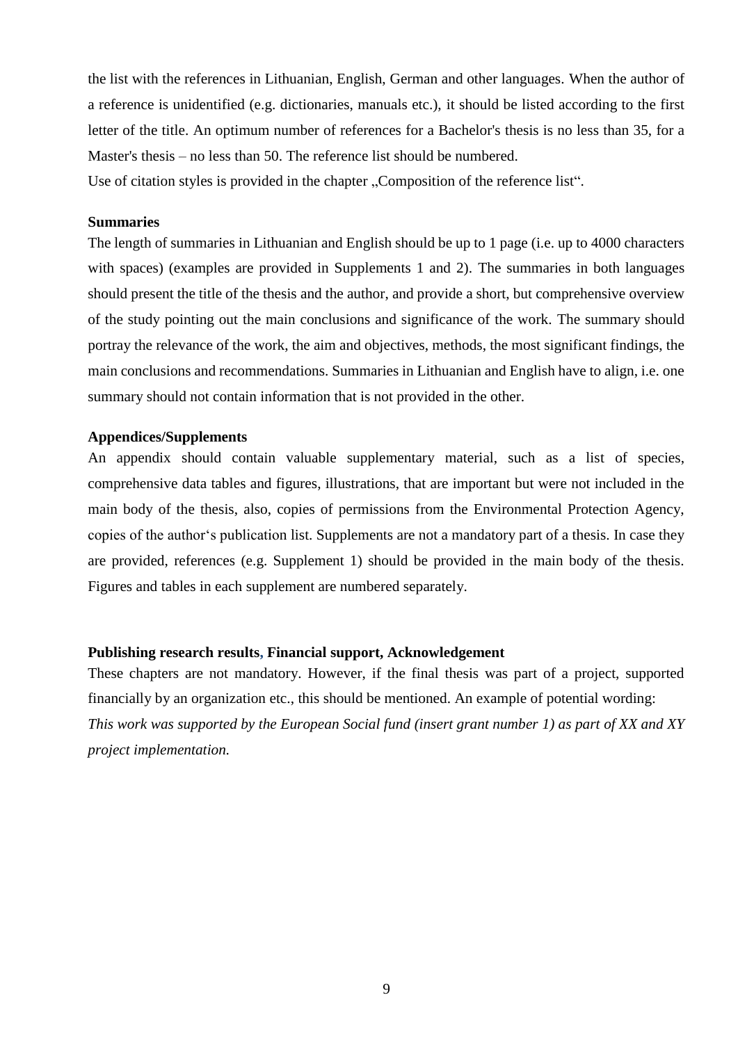the list with the references in Lithuanian, English, German and other languages. When the author of a reference is unidentified (e.g. dictionaries, manuals etc.), it should be listed according to the first letter of the title. An optimum number of references for a Bachelor's thesis is no less than 35, for a Master's thesis – no less than 50. The reference list should be numbered.

Use of citation styles is provided in the chapter "Composition of the reference list".

#### <span id="page-8-0"></span>**Summaries**

The length of summaries in Lithuanian and English should be up to 1 page (i.e. up to 4000 characters with spaces) (examples are provided in Supplements 1 and 2). The summaries in both languages should present the title of the thesis and the author, and provide a short, but comprehensive overview of the study pointing out the main conclusions and significance of the work. The summary should portray the relevance of the work, the aim and objectives, methods, the most significant findings, the main conclusions and recommendations. Summaries in Lithuanian and English have to align, i.e. one summary should not contain information that is not provided in the other.

#### <span id="page-8-1"></span>**Appendices/Supplements**

An appendix should contain valuable supplementary material, such as a list of species, comprehensive data tables and figures, illustrations, that are important but were not included in the main body of the thesis, also, copies of permissions from the Environmental Protection Agency, copies of the author's publication list. Supplements are not a mandatory part of a thesis. In case they are provided, references (e.g. Supplement 1) should be provided in the main body of the thesis. Figures and tables in each supplement are numbered separately.

#### <span id="page-8-2"></span>**Publishing research results, Financial support, Acknowledgement**

These chapters are not mandatory. However, if the final thesis was part of a project, supported financially by an organization etc., this should be mentioned. An example of potential wording: *This work was supported by the European Social fund (insert grant number 1) as part of XX and XY project implementation.*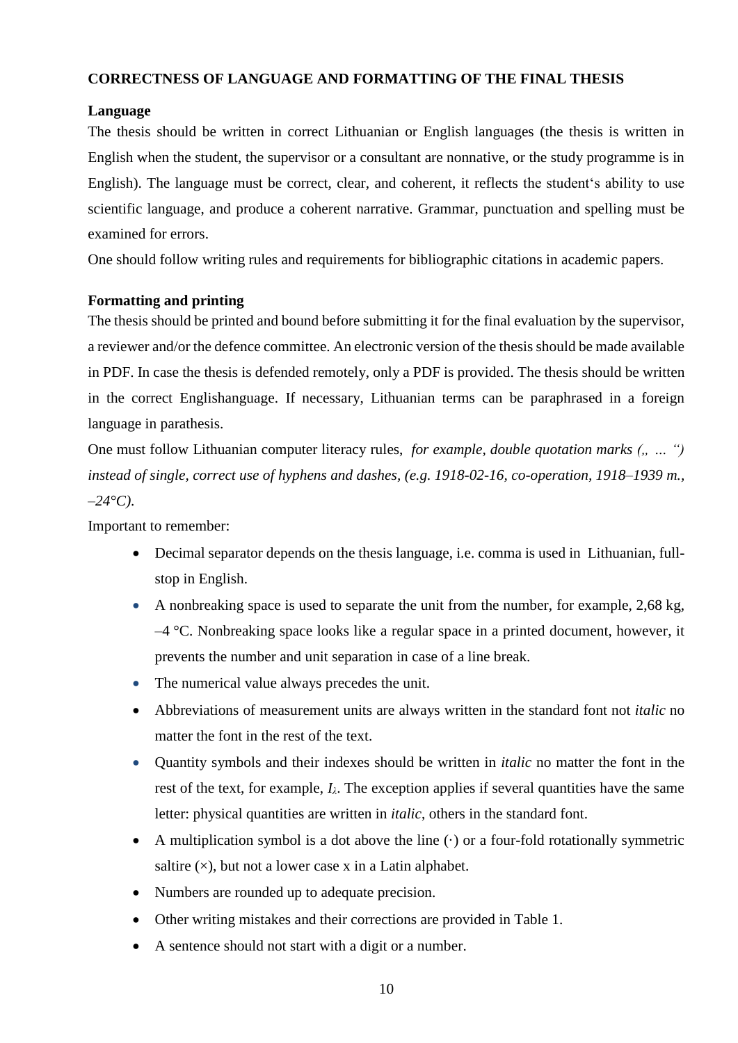# <span id="page-9-0"></span>**CORRECTNESS OF LANGUAGE AND FORMATTING OF THE FINAL THESIS**

## <span id="page-9-1"></span>**Language**

The thesis should be written in correct Lithuanian or English languages (the thesis is written in English when the student, the supervisor or a consultant are nonnative, or the study programme is in English). The language must be correct, clear, and coherent, it reflects the student's ability to use scientific language, and produce a coherent narrative. Grammar, punctuation and spelling must be examined for errors.

One should follow writing rules and requirements for bibliographic citations in academic papers.

## <span id="page-9-2"></span>**Formatting and printing**

The thesis should be printed and bound before submitting it for the final evaluation by the supervisor, a reviewer and/or the defence committee. An electronic version of the thesis should be made available in PDF. In case the thesis is defended remotely, only a PDF is provided. The thesis should be written in the correct Englishanguage. If necessary, Lithuanian terms can be paraphrased in a foreign language in parathesis.

One must follow Lithuanian computer literacy rules, *for example, double quotation marks (" … ") instead of single, correct use of hyphens and dashes, (e.g. 1918-02-16, co-operation, 1918–1939 m., –24°C)*.

Important to remember:

- Decimal separator depends on the thesis language, i.e. comma is used in Lithuanian, fullstop in English.
- A nonbreaking space is used to separate the unit from the number, for example,  $2,68 \text{ kg}$ ,  $-4$  °C. Nonbreaking space looks like a regular space in a printed document, however, it prevents the number and unit separation in case of a line break.
- The numerical value always precedes the unit.
- Abbreviations of measurement units are always written in the standard font not *italic* no matter the font in the rest of the text.
- Quantity symbols and their indexes should be written in *italic* no matter the font in the rest of the text, for example,  $I_\lambda$ . The exception applies if several quantities have the same letter: physical quantities are written in *italic*, others in the standard font.
- A multiplication symbol is a dot above the line  $(\cdot)$  or a four-fold rotationally symmetric saltire  $(x)$ , but not a lower case x in a Latin alphabet.
- Numbers are rounded up to adequate precision.
- Other writing mistakes and their corrections are provided in Table 1.
- A sentence should not start with a digit or a number.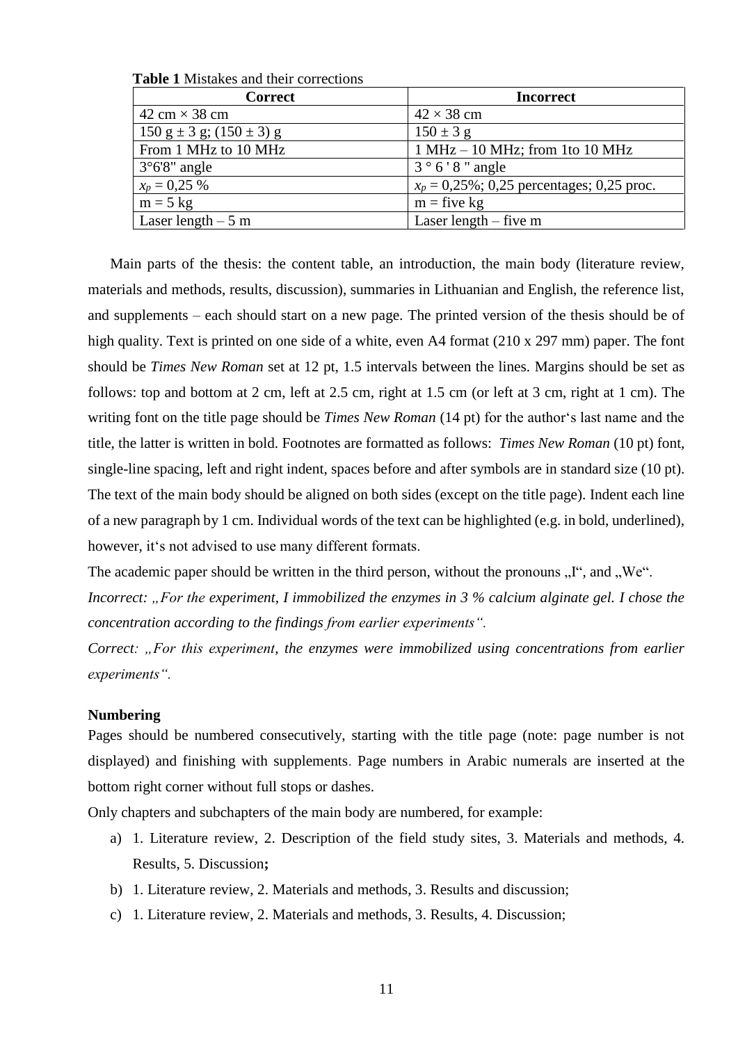| <b>Correct</b>                                            | <b>Incorrect</b>                              |
|-----------------------------------------------------------|-----------------------------------------------|
| 42 cm $\times$ 38 cm                                      | $42 \times 38$ cm                             |
| $150 \text{ g} \pm 3 \text{ g}$ ; $(150 \pm 3) \text{ g}$ | $150 \pm 3$ g                                 |
| From 1 MHz to 10 MHz                                      | $1 MHz - 10 MHz$ ; from 1to 10 MHz            |
| $3^{\circ}6'8''$ angle                                    | $3^{\circ}6'8''$ angle                        |
| $x_p = 0,25\%$                                            | $x_p = 0.25\%$ ; 0.25 percentages; 0.25 proc. |
| $m = 5$ kg                                                | $m =$ five kg                                 |
| Laser length $-5$ m                                       | Laser length $-$ five m                       |

**Table 1** Mistakes and their corrections

Main parts of the thesis: the content table, an introduction, the main body (literature review, materials and methods, results, discussion), summaries in Lithuanian and English, the reference list, and supplements – each should start on a new page. The printed version of the thesis should be of high quality. Text is printed on one side of a white, even A4 format (210 x 297 mm) paper. The font should be *Times New Roman* set at 12 pt, 1.5 intervals between the lines. Margins should be set as follows: top and bottom at 2 cm, left at 2.5 cm, right at 1.5 cm (or left at 3 cm, right at 1 cm). The writing font on the title page should be *Times New Roman* (14 pt) for the author's last name and the title, the latter is written in bold. Footnotes are formatted as follows: *Times New Roman* (10 pt) font, single-line spacing, left and right indent, spaces before and after symbols are in standard size (10 pt). The text of the main body should be aligned on both sides (except on the title page). Indent each line of a new paragraph by 1 cm. Individual words of the text can be highlighted (e.g. in bold, underlined), however, it's not advised to use many different formats.

The academic paper should be written in the third person, without the pronouns  $, I^{\prime\prime}$ , and  $, We^{\prime\prime}$ .

*Incorrect: "For the experiment, I immobilized the enzymes in 3 % calcium alginate gel. I chose the concentration according to the findings from earlier experiments".* 

*Correct: "For this experiment, the enzymes were immobilized using concentrations from earlier experiments".* 

#### <span id="page-10-0"></span>**Numbering**

Pages should be numbered consecutively, starting with the title page (note: page number is not displayed) and finishing with supplements. Page numbers in Arabic numerals are inserted at the bottom right corner without full stops or dashes.

Only chapters and subchapters of the main body are numbered, for example:

- a) 1. Literature review, 2. Description of the field study sites, 3. Materials and methods, 4. Results, 5. Discussion**;**
- b) 1. Literature review, 2. Materials and methods, 3. Results and discussion;
- c) 1. Literature review, 2. Materials and methods, 3. Results, 4. Discussion;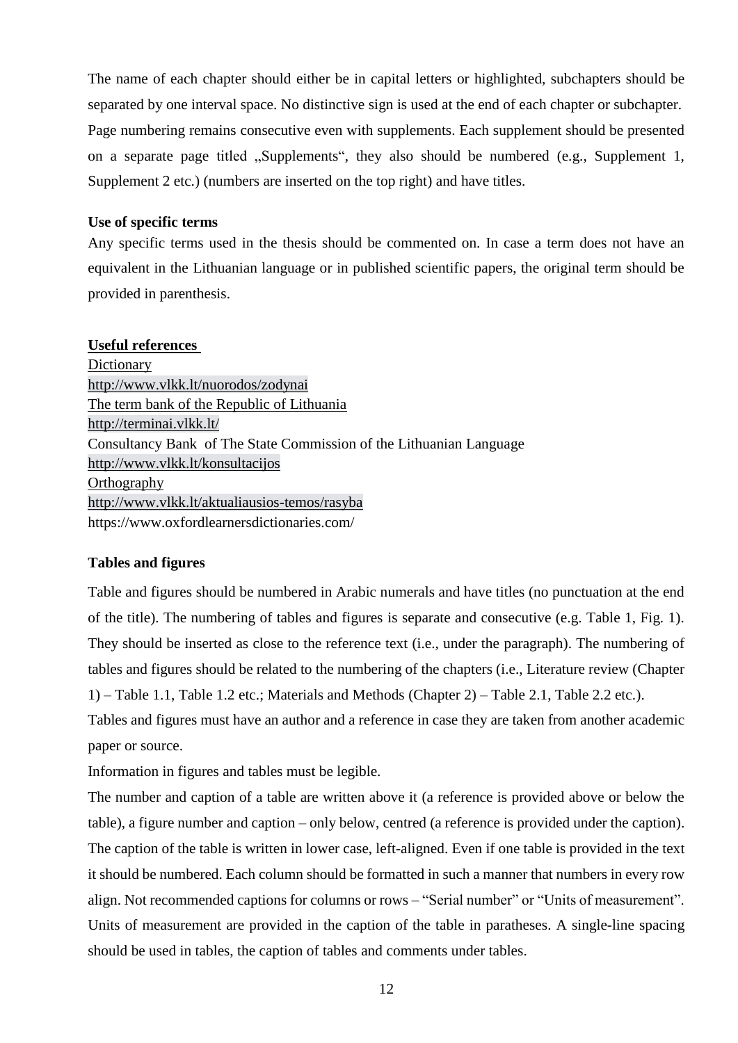The name of each chapter should either be in capital letters or highlighted, subchapters should be separated by one interval space. No distinctive sign is used at the end of each chapter or subchapter. Page numbering remains consecutive even with supplements. Each supplement should be presented on a separate page titled "Supplements", they also should be numbered (e.g., Supplement 1, Supplement 2 etc.) (numbers are inserted on the top right) and have titles.

## <span id="page-11-0"></span>**Use of specific terms**

Any specific terms used in the thesis should be commented on. In case a term does not have an equivalent in the Lithuanian language or in published scientific papers, the original term should be provided in parenthesis.

## **Useful references**

**Dictionary** <http://www.vlkk.lt/nuorodos/zodynai> The term bank of the Republic of Lithuania <http://terminai.vlkk.lt/> Consultancy Bank of The State Commission of the Lithuanian Language <http://www.vlkk.lt/konsultacijos> **Orthography** <http://www.vlkk.lt/aktualiausios-temos/rasyba> https://www.oxfordlearnersdictionaries.com/

# <span id="page-11-1"></span>**Tables and figures**

Table and figures should be numbered in Arabic numerals and have titles (no punctuation at the end of the title). The numbering of tables and figures is separate and consecutive (e.g. Table 1, Fig. 1). They should be inserted as close to the reference text (i.e., under the paragraph). The numbering of tables and figures should be related to the numbering of the chapters (i.e., Literature review (Chapter 1) – Table 1.1, Table 1.2 etc.; Materials and Methods (Chapter 2) – Table 2.1, Table 2.2 etc.).

Tables and figures must have an author and a reference in case they are taken from another academic paper or source.

Information in figures and tables must be legible.

The number and caption of a table are written above it (a reference is provided above or below the table), a figure number and caption – only below, centred (a reference is provided under the caption). The caption of the table is written in lower case, left-aligned. Even if one table is provided in the text it should be numbered. Each column should be formatted in such a manner that numbers in every row align. Not recommended captions for columns or rows – "Serial number" or "Units of measurement". Units of measurement are provided in the caption of the table in paratheses. A single-line spacing should be used in tables, the caption of tables and comments under tables.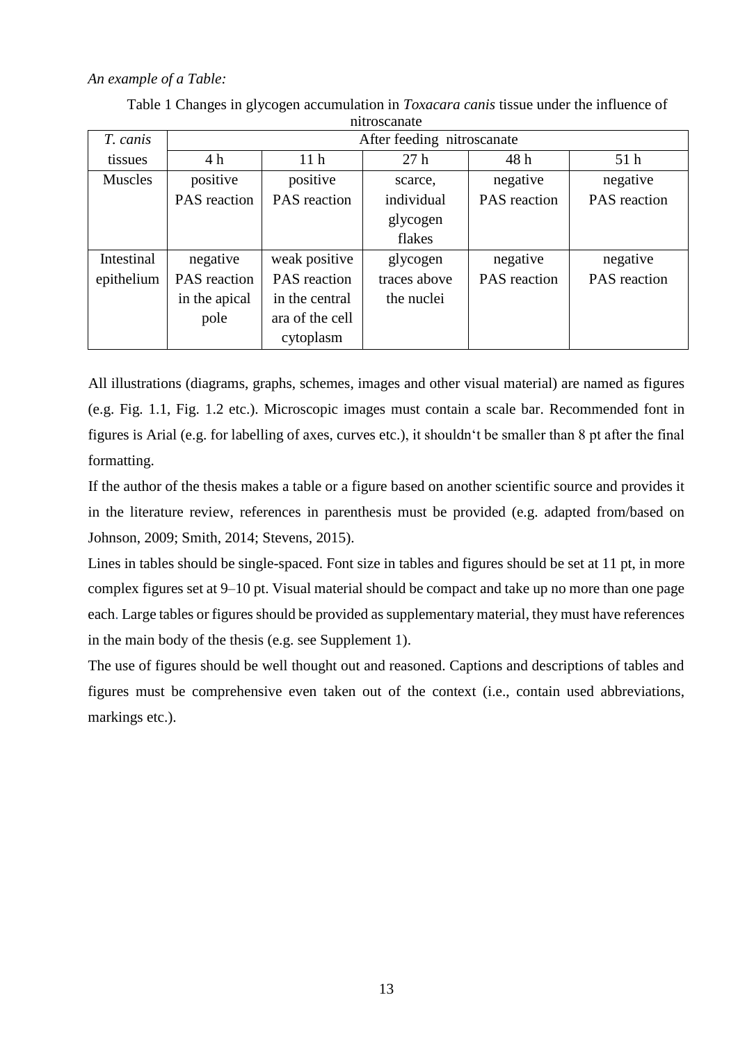## *An example of a Table:*

| T. canis       | After feeding nitroscanate |                     |              |                     |                     |
|----------------|----------------------------|---------------------|--------------|---------------------|---------------------|
| tissues        | 4h                         | 11 <sub>h</sub>     | 27h          | 48 h                | 51 <sub>h</sub>     |
| <b>Muscles</b> | positive                   | positive            | scarce.      | negative            | negative            |
|                | <b>PAS</b> reaction        | <b>PAS</b> reaction | individual   | <b>PAS</b> reaction | <b>PAS</b> reaction |
|                |                            |                     | glycogen     |                     |                     |
|                |                            |                     | flakes       |                     |                     |
| Intestinal     | negative                   | weak positive       | glycogen     | negative            | negative            |
| epithelium     | PAS reaction               | PAS reaction        | traces above | PAS reaction        | PAS reaction        |
|                | in the apical              | in the central      | the nuclei   |                     |                     |
|                | pole                       | ara of the cell     |              |                     |                     |
|                |                            | cytoplasm           |              |                     |                     |

Table 1 Changes in glycogen accumulation in *Toxacara canis* tissue under the influence of nitroscanate

All illustrations (diagrams, graphs, schemes, images and other visual material) are named as figures (e.g. Fig. 1.1, Fig. 1.2 etc.). Microscopic images must contain a scale bar. Recommended font in figures is Arial (e.g. for labelling of axes, curves etc.), it shouldn't be smaller than 8 pt after the final formatting.

If the author of the thesis makes a table or a figure based on another scientific source and provides it in the literature review, references in parenthesis must be provided (e.g. adapted from/based on Johnson, 2009; Smith, 2014; Stevens, 2015).

Lines in tables should be single-spaced. Font size in tables and figures should be set at 11 pt, in more complex figures set at 9–10 pt. Visual material should be compact and take up no more than one page each. Large tables or figures should be provided as supplementary material, they must have references in the main body of the thesis (e.g. see Supplement 1).

The use of figures should be well thought out and reasoned. Captions and descriptions of tables and figures must be comprehensive even taken out of the context (i.e., contain used abbreviations, markings etc.).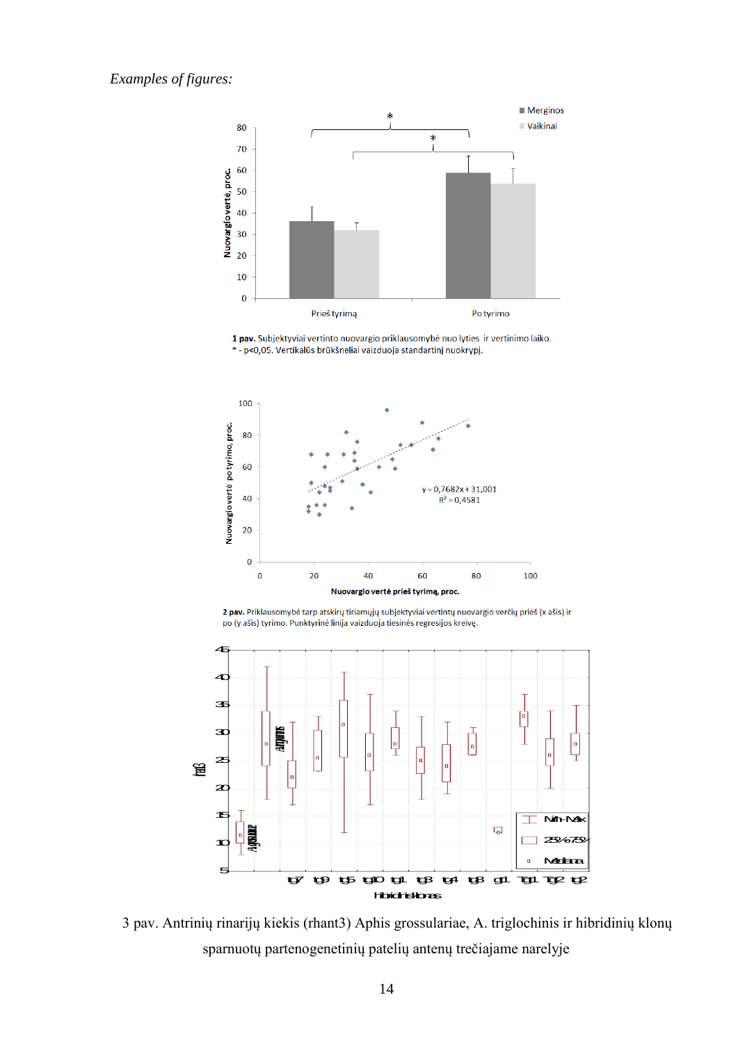

1 pav. Subjektyviai vertinto nuovargio priklausomybė nuo lyties ir vertinimo laiko. \* - p<0,05. Vertikalūs brūkšneliai vaizduoja standartinį nuokrypį.



2 pav. Priklausomybė tarp atskirų tiriamųjų subjektyviai vertintų nuovargio verčių prieš (x ašis) ir po (y ašis) tyrimo. Punktyrinė linija vaizduoja tiesinės regresijos kreivę.



3 pav. Antrinių rinarijų kiekis (rhant3) Aphis grossulariae, A. triglochinis ir hibridinių klonų sparnuotų partenogenetinių patelių antenų trečiajame narelyje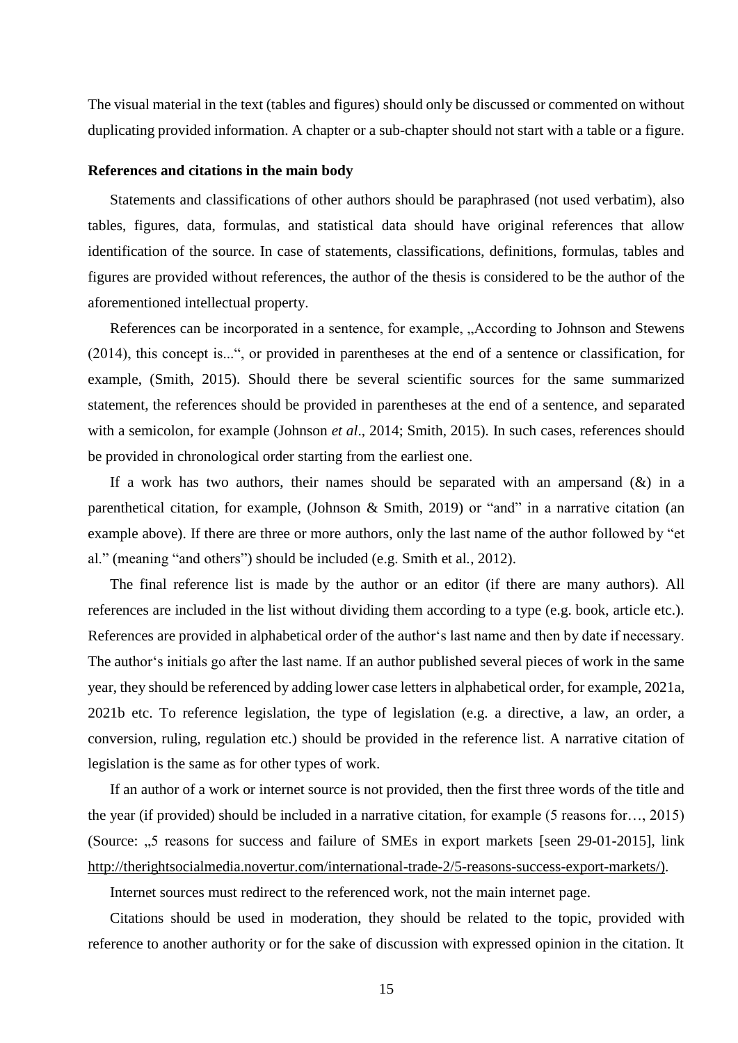The visual material in the text (tables and figures) should only be discussed or commented on without duplicating provided information. A chapter or a sub-chapter should not start with a table or a figure.

#### <span id="page-14-0"></span>**References and citations in the main body**

Statements and classifications of other authors should be paraphrased (not used verbatim), also tables, figures, data, formulas, and statistical data should have original references that allow identification of the source. In case of statements, classifications, definitions, formulas, tables and figures are provided without references, the author of the thesis is considered to be the author of the aforementioned intellectual property.

References can be incorporated in a sentence, for example, "According to Johnson and Stewens (2014), this concept is...", or provided in parentheses at the end of a sentence or classification, for example, (Smith, 2015). Should there be several scientific sources for the same summarized statement, the references should be provided in parentheses at the end of a sentence, and separated with a semicolon, for example (Johnson *et al*., 2014; Smith, 2015). In such cases, references should be provided in chronological order starting from the earliest one.

If a work has two authors, their names should be separated with an ampersand  $(x)$  in a parenthetical citation, for example, (Johnson & Smith, 2019) or "and" in a narrative citation (an example above). If there are three or more authors, only the last name of the author followed by "et al." (meaning "and others") should be included (e.g. Smith et al*.*, 2012).

The final reference list is made by the author or an editor (if there are many authors). All references are included in the list without dividing them according to a type (e.g. book, article etc.). References are provided in alphabetical order of the author's last name and then by date if necessary. The author's initials go after the last name. If an author published several pieces of work in the same year, they should be referenced by adding lower case letters in alphabetical order, for example, 2021a, 2021b etc. To reference legislation, the type of legislation (e.g. a directive, a law, an order, a conversion, ruling, regulation etc.) should be provided in the reference list. A narrative citation of legislation is the same as for other types of work.

If an author of a work or internet source is not provided, then the first three words of the title and the year (if provided) should be included in a narrative citation, for example (5 reasons for…, 2015) (Source: "5 reasons for success and failure of SMEs in export markets [seen 29-01-2015], link [http://therightsocialmedia.novertur.com/international-trade-2/5-reasons-success-export-markets/\)](http://therightsocialmedia.novertur.com/international-trade-2/5-reasons-success-export-markets/).

Internet sources must redirect to the referenced work, not the main internet page.

Citations should be used in moderation, they should be related to the topic, provided with reference to another authority or for the sake of discussion with expressed opinion in the citation. It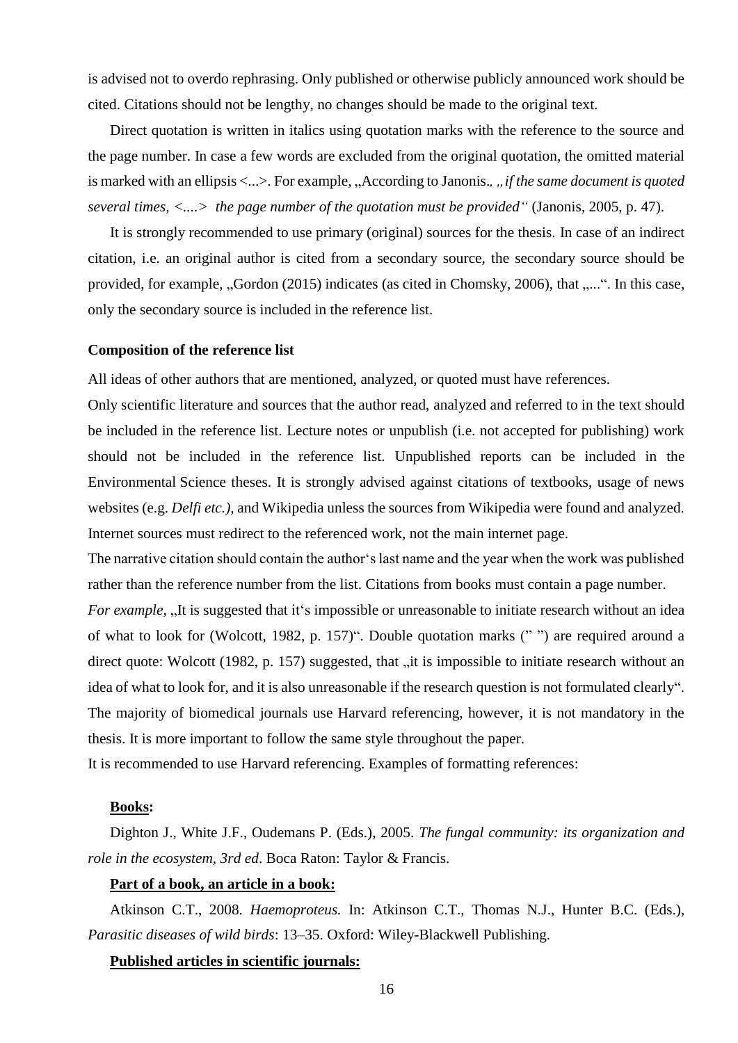is advised not to overdo rephrasing. Only published or otherwise publicly announced work should be cited. Citations should not be lengthy, no changes should be made to the original text.

Direct quotation is written in italics using quotation marks with the reference to the source and the page number. In case a few words are excluded from the original quotation, the omitted material is marked with an ellipsis <...>. For example, "According to Janonis.,", if the same document is quoted *several times, <....> the page number of the quotation must be provided"* (Janonis, 2005, p. 47).

It is strongly recommended to use primary (original) sources for the thesis. In case of an indirect citation, i.e. an original author is cited from a secondary source, the secondary source should be provided, for example, "Gordon (2015) indicates (as cited in Chomsky, 2006), that "...". In this case, only the secondary source is included in the reference list.

#### <span id="page-15-0"></span>**Composition of the reference list**

All ideas of other authors that are mentioned, analyzed, or quoted must have references.

Only scientific literature and sources that the author read, analyzed and referred to in the text should be included in the reference list. Lecture notes or unpublish (i.e. not accepted for publishing) work should not be included in the reference list. Unpublished reports can be included in the Environmental Science theses. It is strongly advised against citations of textbooks, usage of news websites (e.g. *Delfi etc.),* and Wikipedia unless the sources from Wikipedia were found and analyzed. Internet sources must redirect to the referenced work, not the main internet page.

The narrative citation should contain the author's last name and the year when the work was published rather than the reference number from the list. Citations from books must contain a page number.

*For example*, "It is suggested that it's impossible or unreasonable to initiate research without an idea of what to look for (Wolcott, 1982, p. 157)". Double quotation marks (" ") are required around a direct quote: Wolcott (1982, p. 157) suggested, that "it is impossible to initiate research without an idea of what to look for, and it is also unreasonable if the research question is not formulated clearly". The majority of biomedical journals use Harvard referencing, however, it is not mandatory in the thesis. It is more important to follow the same style throughout the paper.

It is recommended to use Harvard referencing. Examples of formatting references:

## **Books:**

Dighton J., White J.F., Oudemans P. (Eds.), 2005. *The fungal community: its organization and role in the ecosystem, 3rd ed*. Boca Raton: Taylor & Francis.

#### **Part of a book, an article in a book:**

Atkinson C.T., 2008. *Haemoproteus.* In: Atkinson C.T., Thomas N.J., Hunter B.C. (Eds.), *Parasitic diseases of wild birds*: 13–35. Oxford: Wiley-Blackwell Publishing.

#### **Published articles in scientific journals:**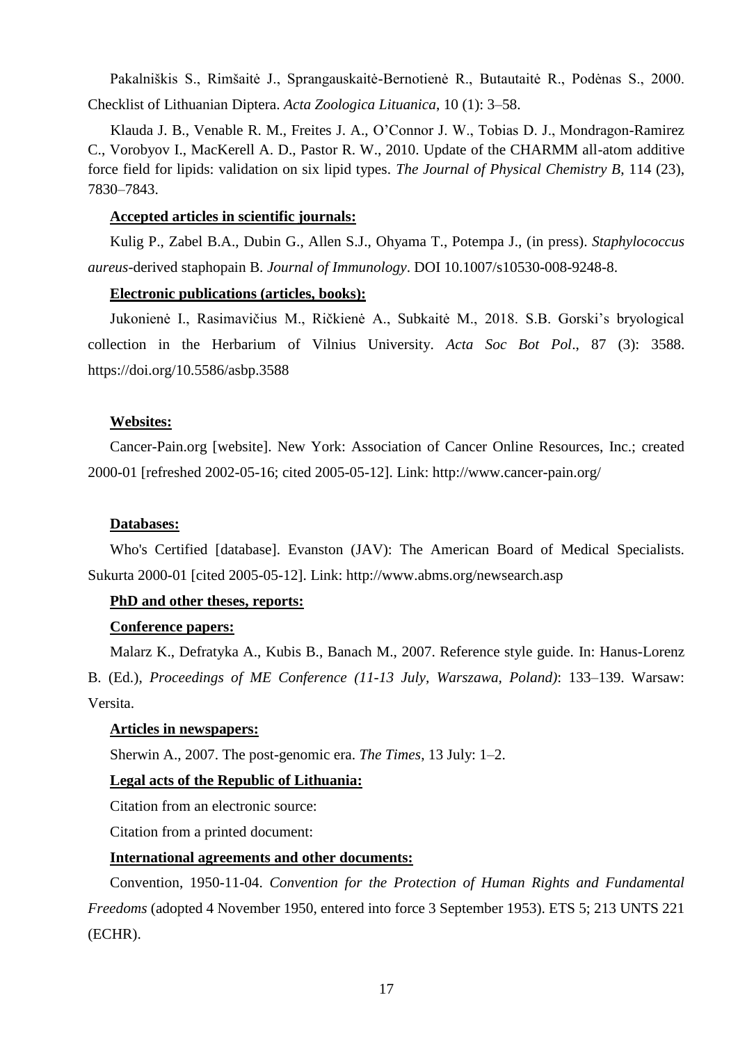Pakalniškis S., Rimšaitė J., Sprangauskaitė-Bernotienė R., Butautaitė R., Podėnas S., 2000. Checklist of Lithuanian Diptera. *Acta Zoologica Lituanica*, 10 (1): 3–58.

 Klauda J. B., Venable R. M., Freites J. A., O'Connor J. W., Tobias D. J., Mondragon-Ramirez C., Vorobyov I., MacKerell A. D., Pastor R. W., 2010. Update of the CHARMM all-atom additive force field for lipids: validation on six lipid types. *The Journal of Physical Chemistry B*, 114 (23), 7830–7843.

## **Accepted articles in scientific journals:**

Kulig P., Zabel B.A., Dubin G., Allen S.J., Ohyama T., Potempa J., (in press). *Staphylococcus aureus*-derived staphopain B. *Journal of Immunology*. DOI 10.1007/s10530-008-9248-8.

## **Electronic publications (articles, books):**

Jukonienė I., Rasimavičius M., Ričkienė A., Subkaitė M., 2018. S.B. Gorski's bryological collection in the Herbarium of Vilnius University. *Acta Soc Bot Pol*., 87 (3): 3588. https://doi.org/10.5586/asbp.3588

## **Websites:**

Cancer-Pain.org [website]. New York: Association of Cancer Online Resources, Inc.; created 2000-01 [refreshed 2002-05-16; cited 2005-05-12]. Link: http://www.cancer-pain.org/

## **Databases:**

Who's Certified [database]. Evanston (JAV): The American Board of Medical Specialists. Sukurta 2000-01 [cited 2005-05-12]. Link: http://www.abms.org/newsearch.asp

## **PhD and other theses, reports:**

## **Conference papers:**

Malarz K., Defratyka A., Kubis B., Banach M., 2007. Reference style guide. In: Hanus-Lorenz B. (Ed.), *Proceedings of ME Conference (11-13 July, Warszawa, Poland)*: 133–139. Warsaw: Versita.

## **Articles in newspapers:**

Sherwin A., 2007. The post-genomic era. *The Times*, 13 July: 1–2.

## **Legal acts of the Republic of Lithuania:**

Citation from an electronic source:

Citation from a printed document:

## **International agreements and other documents:**

Convention, 1950-11-04. *Convention for the Protection of Human Rights and Fundamental Freedoms* (adopted 4 November 1950, entered into force 3 September 1953). ETS 5; 213 UNTS 221 (ECHR).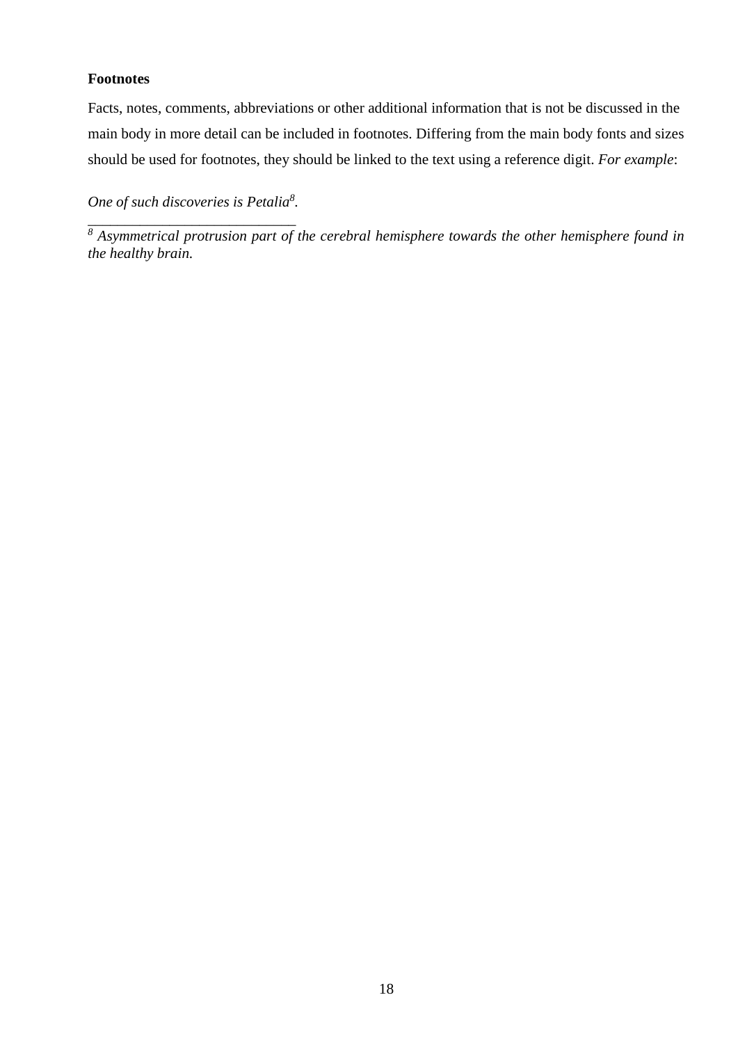# <span id="page-17-0"></span>**Footnotes**

Facts, notes, comments, abbreviations or other additional information that is not be discussed in the main body in more detail can be included in footnotes. Differing from the main body fonts and sizes should be used for footnotes, they should be linked to the text using a reference digit. *For example*:

*One of such discoveries is Petalia<sup>8</sup> .*

*\_\_\_\_\_\_\_\_\_\_\_\_\_\_\_\_\_\_\_\_\_\_\_\_\_\_\_\_ <sup>8</sup> Asymmetrical protrusion part of the cerebral hemisphere towards the other hemisphere found in the healthy brain.*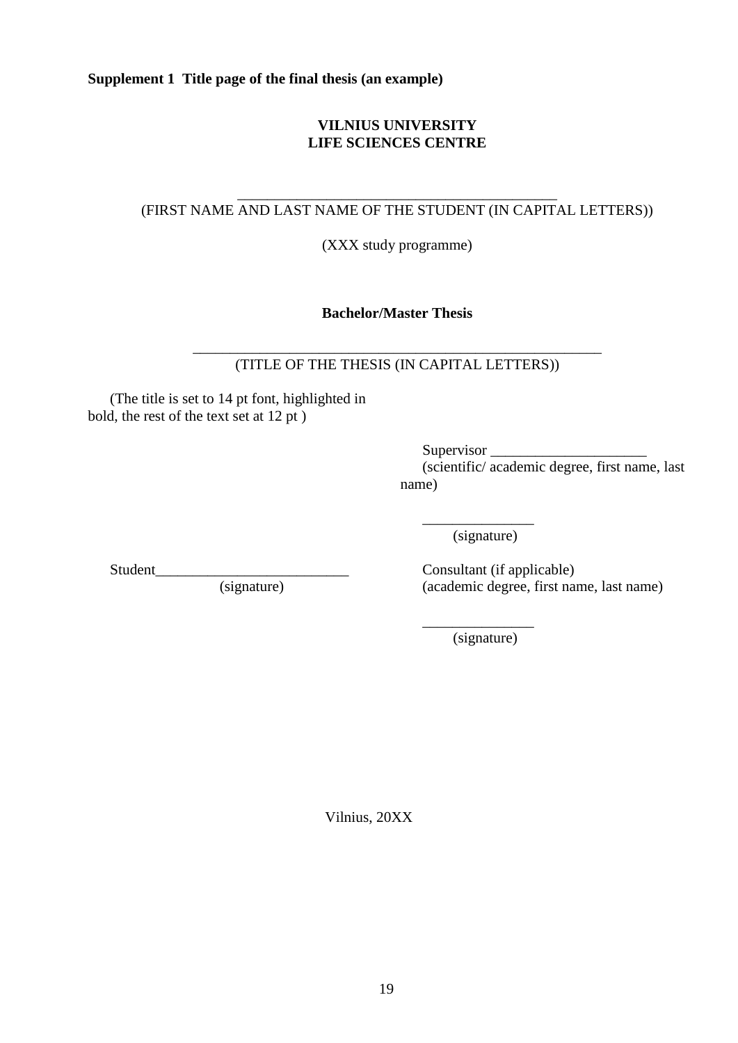<span id="page-18-0"></span>**Supplement 1 Title page of the final thesis (an example)** 

# **VILNIUS UNIVERSITY LIFE SCIENCES CENTRE**

#### \_\_\_\_\_\_\_\_\_\_\_\_\_\_\_\_\_\_\_\_\_\_\_\_\_\_\_\_\_\_\_\_\_\_\_\_\_\_\_\_\_\_\_ (FIRST NAME AND LAST NAME OF THE STUDENT (IN CAPITAL LETTERS))

(XXX study programme)

**Bachelor/Master Thesis**

\_\_\_\_\_\_\_\_\_\_\_\_\_\_\_\_\_\_\_\_\_\_\_\_\_\_\_\_\_\_\_\_\_\_\_\_\_\_\_\_\_\_\_\_\_\_\_\_\_\_\_\_\_\_\_ (TITLE OF THE THESIS (IN CAPITAL LETTERS))

(The title is set to 14 pt font, highlighted in bold, the rest of the text set at 12 pt )

> Supervisor (scientific/ academic degree, first name, last name)

\_\_\_\_\_\_\_\_\_\_\_\_\_\_\_ (signature)

Student\_\_\_\_\_\_\_\_\_\_\_\_\_\_\_\_\_\_\_\_\_\_\_\_\_\_

(signature)

Consultant (if applicable) (academic degree, first name, last name)

\_\_\_\_\_\_\_\_\_\_\_\_\_\_\_ (signature)

Vilnius, 20XX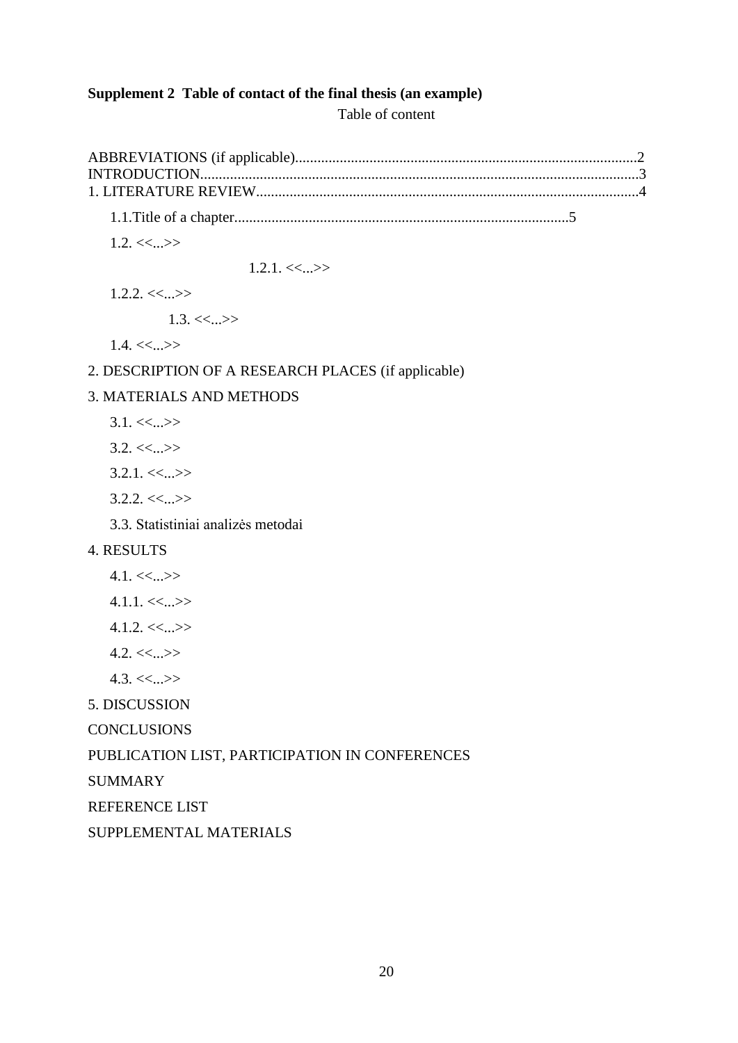# <span id="page-19-0"></span>**Supplement 2 Table of contact of the final thesis (an example)**

Table of content

1.1.Title of a chapter..........................................................................................5

 $1.2 < \leq ... >$ 

 $1.2.1 \leq \leq ... \geq 1$ 

 $1.2.2 < \leq ...>$ 

 $1.3. \ll ... \gg$ 

 $1.4. \ll ... \gg$ 

## 2. DESCRIPTION OF A RESEARCH PLACES (if applicable)

## 3. MATERIALS AND METHODS

- $3.1. \ll ... \gg$
- $3.2 \leq \leq ... \geq 5$
- $3.2.1 \leq \leq ... \geq 5$
- $3.2.2 < \leq ...>$
- 3.3. Statistiniai analizės metodai

# 4. RESULTS

- $4.1. \ll ... \ll$
- $4.1.1 < \leq ... \geq$
- $4.1.2 < \leq ...>$
- $4.2 \leq \leq ... \geq 5$
- $4.3. \ll ... \gg$
- 5. DISCUSSION
- **CONCLUSIONS**

# PUBLICATION LIST, PARTICIPATION IN CONFERENCES

SUMMARY

REFERENCE LIST

SUPPLEMENTAL MATERIALS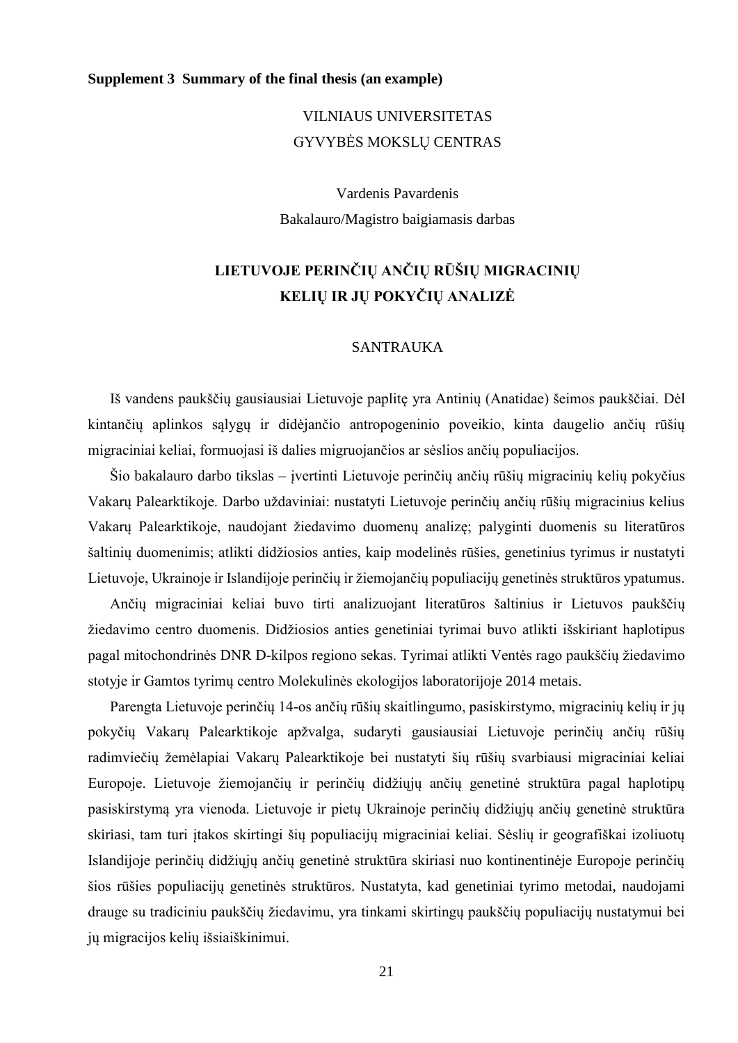### <span id="page-20-0"></span>**Supplement 3 Summary of the final thesis (an example)**

# VILNIAUS UNIVERSITETAS GYVYBĖS MOKSLŲ CENTRAS

Vardenis Pavardenis Bakalauro/Magistro baigiamasis darbas

# **LIETUVOJE PERINČIŲ ANČIŲ RŪŠIŲ MIGRACINIŲ KELIŲ IR JŲ POKYČIŲ ANALIZĖ**

### SANTRAUKA

Iš vandens paukščių gausiausiai Lietuvoje paplitę yra Antinių (Anatidae) šeimos paukščiai. Dėl kintančių aplinkos sąlygų ir didėjančio antropogeninio poveikio, kinta daugelio ančių rūšių migraciniai keliai, formuojasi iš dalies migruojančios ar sėslios ančių populiacijos.

Šio bakalauro darbo tikslas – įvertinti Lietuvoje perinčių ančių rūšių migracinių kelių pokyčius Vakarų Palearktikoje. Darbo uždaviniai: nustatyti Lietuvoje perinčių ančių rūšių migracinius kelius Vakarų Palearktikoje, naudojant žiedavimo duomenų analizę; palyginti duomenis su literatūros šaltinių duomenimis; atlikti didžiosios anties, kaip modelinės rūšies, genetinius tyrimus ir nustatyti Lietuvoje, Ukrainoje ir Islandijoje perinčių ir žiemojančių populiacijų genetinės struktūros ypatumus.

Ančių migraciniai keliai buvo tirti analizuojant literatūros šaltinius ir Lietuvos paukščių žiedavimo centro duomenis. Didžiosios anties genetiniai tyrimai buvo atlikti išskiriant haplotipus pagal mitochondrinės DNR D-kilpos regiono sekas. Tyrimai atlikti Ventės rago paukščių žiedavimo stotyje ir Gamtos tyrimų centro Molekulinės ekologijos laboratorijoje 2014 metais.

Parengta Lietuvoje perinčių 14-os ančių rūšių skaitlingumo, pasiskirstymo, migracinių kelių ir jų pokyčių Vakarų Palearktikoje apžvalga, sudaryti gausiausiai Lietuvoje perinčių ančių rūšių radimviečių žemėlapiai Vakarų Palearktikoje bei nustatyti šių rūšių svarbiausi migraciniai keliai Europoje. Lietuvoje žiemojančių ir perinčių didžiųjų ančių genetinė struktūra pagal haplotipų pasiskirstymą yra vienoda. Lietuvoje ir pietų Ukrainoje perinčių didžiųjų ančių genetinė struktūra skiriasi, tam turi įtakos skirtingi šių populiacijų migraciniai keliai. Sėslių ir geografiškai izoliuotų Islandijoje perinčių didžiųjų ančių genetinė struktūra skiriasi nuo kontinentinėje Europoje perinčių šios rūšies populiacijų genetinės struktūros. Nustatyta, kad genetiniai tyrimo metodai, naudojami drauge su tradiciniu paukščių žiedavimu, yra tinkami skirtingų paukščių populiacijų nustatymui bei jų migracijos kelių išsiaiškinimui.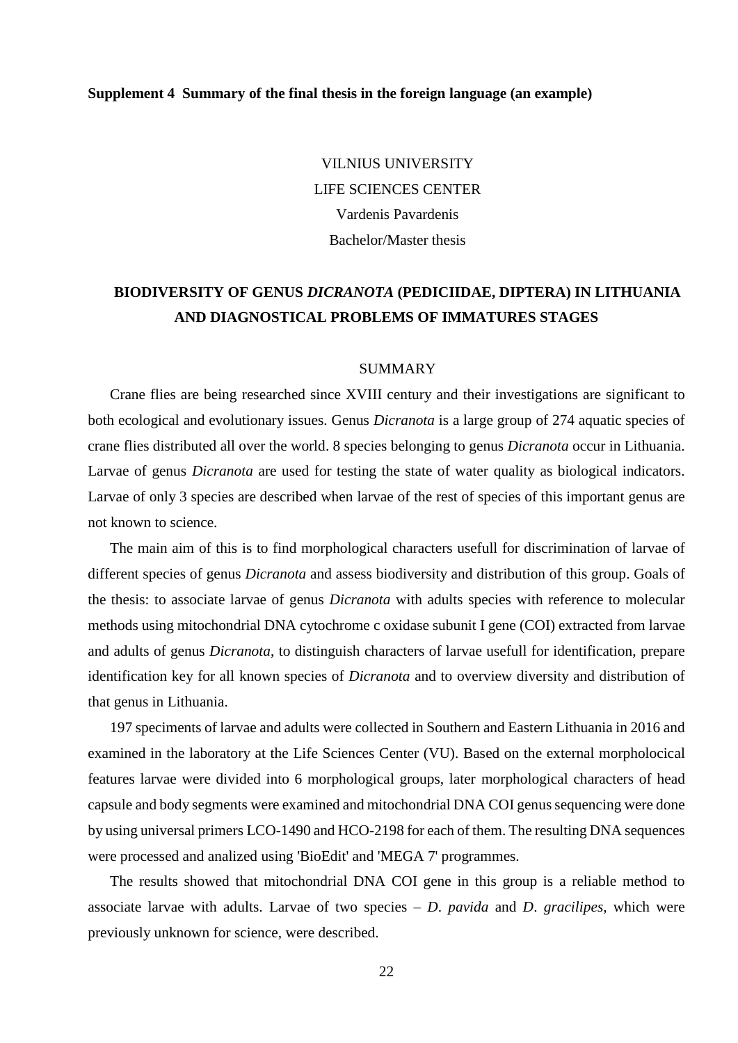#### <span id="page-21-0"></span>**Supplement 4 Summary of the final thesis in the foreign language (an example)**

VILNIUS UNIVERSITY LIFE SCIENCES CENTER Vardenis Pavardenis Bachelor/Master thesis

# **BIODIVERSITY OF GENUS** *DICRANOTA* **(PEDICIIDAE, DIPTERA) IN LITHUANIA AND DIAGNOSTICAL PROBLEMS OF IMMATURES STAGES**

#### SUMMARY

Crane flies are being researched since XVIII century and their investigations are significant to both ecological and evolutionary issues. Genus *Dicranota* is a large group of 274 aquatic species of crane flies distributed all over the world. 8 species belonging to genus *Dicranota* occur in Lithuania. Larvae of genus *Dicranota* are used for testing the state of water quality as biological indicators. Larvae of only 3 species are described when larvae of the rest of species of this important genus are not known to science.

The main aim of this is to find morphological characters usefull for discrimination of larvae of different species of genus *Dicranota* and assess biodiversity and distribution of this group. Goals of the thesis: to associate larvae of genus *Dicranota* with adults species with reference to molecular methods using mitochondrial DNA cytochrome c oxidase subunit I gene (COI) extracted from larvae and adults of genus *Dicranota*, to distinguish characters of larvae usefull for identification, prepare identification key for all known species of *Dicranota* and to overview diversity and distribution of that genus in Lithuania.

197 speciments of larvae and adults were collected in Southern and Eastern Lithuania in 2016 and examined in the laboratory at the Life Sciences Center (VU). Based on the external morpholocical features larvae were divided into 6 morphological groups, later morphological characters of head capsule and body segments were examined and mitochondrial DNA COI genus sequencing were done by using universal primers LCO-1490 and HCO-2198 for each of them. The resulting DNA sequences were processed and analized using 'BioEdit' and 'MEGA 7' programmes.

The results showed that mitochondrial DNA COI gene in this group is a reliable method to associate larvae with adults. Larvae of two species – *D*. *pavida* and *D*. *gracilipes*, which were previously unknown for science, were described.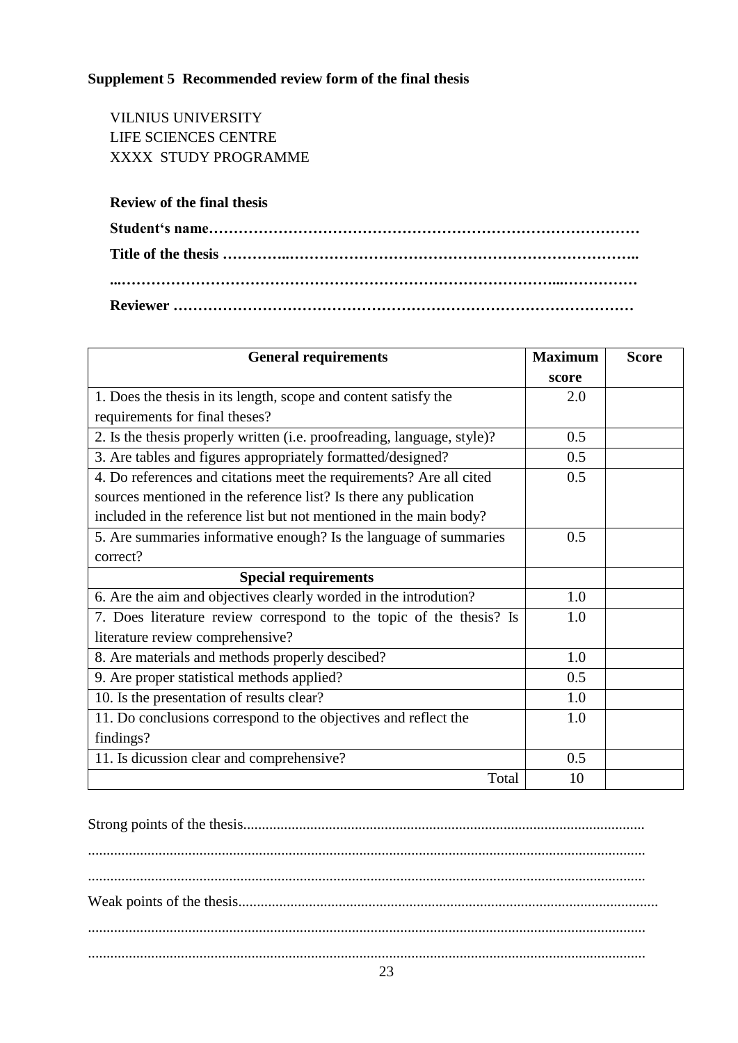# <span id="page-22-0"></span>**Supplement 5 Recommended review form of the final thesis**

VILNIUS UNIVERSITY LIFE SCIENCES CENTRE XXXX STUDY PROGRAMME

## **Review of the final thesis**

| <b>General requirements</b>                                             | <b>Maximum</b> | <b>Score</b> |
|-------------------------------------------------------------------------|----------------|--------------|
|                                                                         | score          |              |
| 1. Does the thesis in its length, scope and content satisfy the         | 2.0            |              |
| requirements for final theses?                                          |                |              |
| 2. Is the thesis properly written (i.e. proofreading, language, style)? | 0.5            |              |
| 3. Are tables and figures appropriately formatted/designed?             | 0.5            |              |
| 4. Do references and citations meet the requirements? Are all cited     | 0.5            |              |
| sources mentioned in the reference list? Is there any publication       |                |              |
| included in the reference list but not mentioned in the main body?      |                |              |
| 5. Are summaries informative enough? Is the language of summaries       | 0.5            |              |
| correct?                                                                |                |              |
| <b>Special requirements</b>                                             |                |              |
| 6. Are the aim and objectives clearly worded in the introdution?        | 1.0            |              |
| 7. Does literature review correspond to the topic of the thesis? Is     | 1.0            |              |
| literature review comprehensive?                                        |                |              |
| 8. Are materials and methods properly descibed?                         | 1.0            |              |
| 9. Are proper statistical methods applied?                              | 0.5            |              |
| 10. Is the presentation of results clear?                               | 1.0            |              |
| 11. Do conclusions correspond to the objectives and reflect the         | 1.0            |              |
| findings?                                                               |                |              |
| 11. Is dicussion clear and comprehensive?                               | 0.5            |              |
| Total                                                                   | 10             |              |

Strong points of the thesis............................................................................................................ ...................................................................................................................................................... ...................................................................................................................................................... Weak points of the thesis................................................................................................................. ...................................................................................................................................................... ......................................................................................................................................................